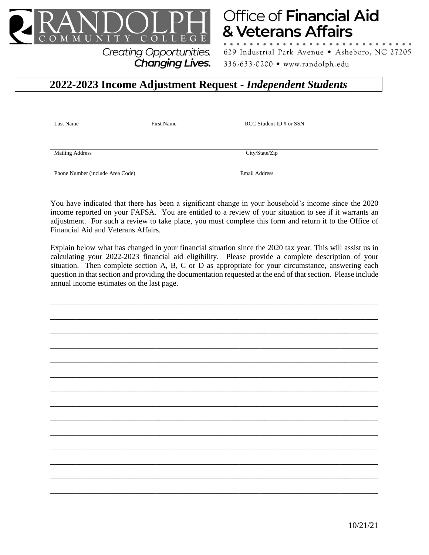

# **Office of Financial Aid** & Veterans Affairs

629 Industrial Park Avenue · Asheboro, NC 27205 336-633-0200 • www.randolph.edu

# **2022-2023 Income Adjustment Request -** *Independent Students*

**Changing Lives.** 

Last Name First Name First Name RCC Student ID # or SSN

Mailing Address City/State/Zip

Phone Number (include Area Code) Email Address

You have indicated that there has been a significant change in your household's income since the 2020 income reported on your FAFSA. You are entitled to a review of your situation to see if it warrants an adjustment. For such a review to take place, you must complete this form and return it to the Office of Financial Aid and Veterans Affairs.

Explain below what has changed in your financial situation since the 2020 tax year. This will assist us in calculating your 2022-2023 financial aid eligibility. Please provide a complete description of your situation. Then complete section A, B, C or D as appropriate for your circumstance, answering each question in that section and providing the documentation requested at the end of that section. Please include annual income estimates on the last page.

\_\_\_\_\_\_\_\_\_\_\_\_\_\_\_\_\_\_\_\_\_\_\_\_\_\_\_\_\_\_\_\_\_\_\_\_\_\_\_\_\_\_\_\_\_\_\_\_\_\_\_\_\_\_\_\_\_\_\_\_\_\_\_\_\_\_\_\_\_\_\_\_\_\_\_\_\_\_

\_\_\_\_\_\_\_\_\_\_\_\_\_\_\_\_\_\_\_\_\_\_\_\_\_\_\_\_\_\_\_\_\_\_\_\_\_\_\_\_\_\_\_\_\_\_\_\_\_\_\_\_\_\_\_\_\_\_\_\_\_\_\_\_\_\_\_\_\_\_\_\_\_\_\_\_\_\_

\_\_\_\_\_\_\_\_\_\_\_\_\_\_\_\_\_\_\_\_\_\_\_\_\_\_\_\_\_\_\_\_\_\_\_\_\_\_\_\_\_\_\_\_\_\_\_\_\_\_\_\_\_\_\_\_\_\_\_\_\_\_\_\_\_\_\_\_\_\_\_\_\_\_\_\_\_\_

\_\_\_\_\_\_\_\_\_\_\_\_\_\_\_\_\_\_\_\_\_\_\_\_\_\_\_\_\_\_\_\_\_\_\_\_\_\_\_\_\_\_\_\_\_\_\_\_\_\_\_\_\_\_\_\_\_\_\_\_\_\_\_\_\_\_\_\_\_\_\_\_\_\_\_\_\_\_

\_\_\_\_\_\_\_\_\_\_\_\_\_\_\_\_\_\_\_\_\_\_\_\_\_\_\_\_\_\_\_\_\_\_\_\_\_\_\_\_\_\_\_\_\_\_\_\_\_\_\_\_\_\_\_\_\_\_\_\_\_\_\_\_\_\_\_\_\_\_\_\_\_\_\_\_\_\_

\_\_\_\_\_\_\_\_\_\_\_\_\_\_\_\_\_\_\_\_\_\_\_\_\_\_\_\_\_\_\_\_\_\_\_\_\_\_\_\_\_\_\_\_\_\_\_\_\_\_\_\_\_\_\_\_\_\_\_\_\_\_\_\_\_\_\_\_\_\_\_\_\_\_\_\_\_\_

\_\_\_\_\_\_\_\_\_\_\_\_\_\_\_\_\_\_\_\_\_\_\_\_\_\_\_\_\_\_\_\_\_\_\_\_\_\_\_\_\_\_\_\_\_\_\_\_\_\_\_\_\_\_\_\_\_\_\_\_\_\_\_\_\_\_\_\_\_\_\_\_\_\_\_\_\_\_

\_\_\_\_\_\_\_\_\_\_\_\_\_\_\_\_\_\_\_\_\_\_\_\_\_\_\_\_\_\_\_\_\_\_\_\_\_\_\_\_\_\_\_\_\_\_\_\_\_\_\_\_\_\_\_\_\_\_\_\_\_\_\_\_\_\_\_\_\_\_\_\_\_\_\_\_\_\_

\_\_\_\_\_\_\_\_\_\_\_\_\_\_\_\_\_\_\_\_\_\_\_\_\_\_\_\_\_\_\_\_\_\_\_\_\_\_\_\_\_\_\_\_\_\_\_\_\_\_\_\_\_\_\_\_\_\_\_\_\_\_\_\_\_\_\_\_\_\_\_\_\_\_\_\_\_\_

\_\_\_\_\_\_\_\_\_\_\_\_\_\_\_\_\_\_\_\_\_\_\_\_\_\_\_\_\_\_\_\_\_\_\_\_\_\_\_\_\_\_\_\_\_\_\_\_\_\_\_\_\_\_\_\_\_\_\_\_\_\_\_\_\_\_\_\_\_\_\_\_\_\_\_\_\_\_

\_\_\_\_\_\_\_\_\_\_\_\_\_\_\_\_\_\_\_\_\_\_\_\_\_\_\_\_\_\_\_\_\_\_\_\_\_\_\_\_\_\_\_\_\_\_\_\_\_\_\_\_\_\_\_\_\_\_\_\_\_\_\_\_\_\_\_\_\_\_\_\_\_\_\_\_\_\_

\_\_\_\_\_\_\_\_\_\_\_\_\_\_\_\_\_\_\_\_\_\_\_\_\_\_\_\_\_\_\_\_\_\_\_\_\_\_\_\_\_\_\_\_\_\_\_\_\_\_\_\_\_\_\_\_\_\_\_\_\_\_\_\_\_\_\_\_\_\_\_\_\_\_\_\_\_\_

\_\_\_\_\_\_\_\_\_\_\_\_\_\_\_\_\_\_\_\_\_\_\_\_\_\_\_\_\_\_\_\_\_\_\_\_\_\_\_\_\_\_\_\_\_\_\_\_\_\_\_\_\_\_\_\_\_\_\_\_\_\_\_\_\_\_\_\_\_\_\_\_\_\_\_\_\_\_

\_\_\_\_\_\_\_\_\_\_\_\_\_\_\_\_\_\_\_\_\_\_\_\_\_\_\_\_\_\_\_\_\_\_\_\_\_\_\_\_\_\_\_\_\_\_\_\_\_\_\_\_\_\_\_\_\_\_\_\_\_\_\_\_\_\_\_\_\_\_\_\_\_\_\_\_\_\_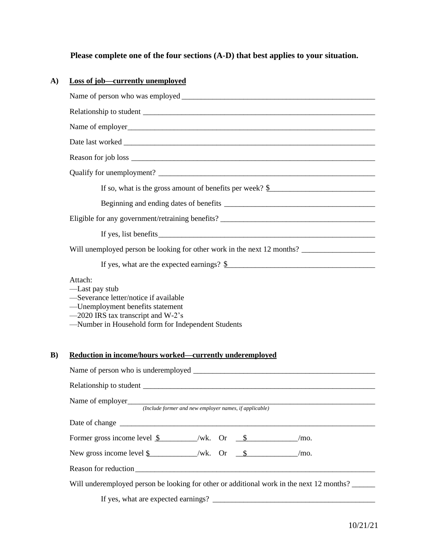# **Please complete one of the four sections (A-D) that best applies to your situation.**

## **A) Loss of job—currently unemployed**

|    | If so, what is the gross amount of benefits per week? $\frac{6}{2}$                                                                                                                                |  |  |  |
|----|----------------------------------------------------------------------------------------------------------------------------------------------------------------------------------------------------|--|--|--|
|    |                                                                                                                                                                                                    |  |  |  |
|    |                                                                                                                                                                                                    |  |  |  |
|    |                                                                                                                                                                                                    |  |  |  |
|    | Will unemployed person be looking for other work in the next 12 months?                                                                                                                            |  |  |  |
|    |                                                                                                                                                                                                    |  |  |  |
|    | Attach:<br>—Last pay stub<br>-Severance letter/notice if available<br>-Unemployment benefits statement<br>-2020 IRS tax transcript and W-2's<br>-Number in Household form for Independent Students |  |  |  |
| B) | Reduction in income/hours worked—currently underemployed                                                                                                                                           |  |  |  |
|    |                                                                                                                                                                                                    |  |  |  |
|    | Name of employer<br>(Include former and new employer names, if applicable)                                                                                                                         |  |  |  |
|    |                                                                                                                                                                                                    |  |  |  |
|    | Former gross income level $\frac{1}{s}$ /wk. Or $\frac{s}{s}$ /mo.                                                                                                                                 |  |  |  |
|    | New gross income level $\underline{\$$ /wk. Or $\underline{\$}$ /mo.                                                                                                                               |  |  |  |
|    |                                                                                                                                                                                                    |  |  |  |
|    | Will underemployed person be looking for other or additional work in the next 12 months?                                                                                                           |  |  |  |
|    |                                                                                                                                                                                                    |  |  |  |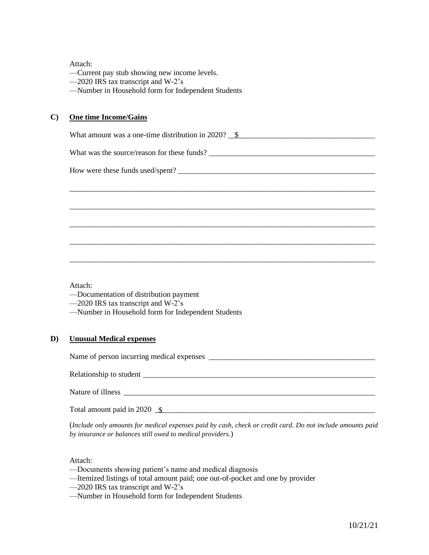Attach:

—Current pay stub showing new income levels.

—2020 IRS tax transcript and W-2's

—Number in Household form for Independent Students

#### **C) One time Income/Gains**

What amount was a one-time distribution in 2020?  $\frac{\$}{\$}$ 

\_\_\_\_\_\_\_\_\_\_\_\_\_\_\_\_\_\_\_\_\_\_\_\_\_\_\_\_\_\_\_\_\_\_\_\_\_\_\_\_\_\_\_\_\_\_\_\_\_\_\_\_\_\_\_\_\_\_\_\_\_\_\_\_\_\_\_\_\_\_\_\_\_\_\_\_\_\_\_

\_\_\_\_\_\_\_\_\_\_\_\_\_\_\_\_\_\_\_\_\_\_\_\_\_\_\_\_\_\_\_\_\_\_\_\_\_\_\_\_\_\_\_\_\_\_\_\_\_\_\_\_\_\_\_\_\_\_\_\_\_\_\_\_\_\_\_\_\_\_\_\_\_\_\_\_\_\_\_

\_\_\_\_\_\_\_\_\_\_\_\_\_\_\_\_\_\_\_\_\_\_\_\_\_\_\_\_\_\_\_\_\_\_\_\_\_\_\_\_\_\_\_\_\_\_\_\_\_\_\_\_\_\_\_\_\_\_\_\_\_\_\_\_\_\_\_\_\_\_\_\_\_\_\_\_\_\_\_

\_\_\_\_\_\_\_\_\_\_\_\_\_\_\_\_\_\_\_\_\_\_\_\_\_\_\_\_\_\_\_\_\_\_\_\_\_\_\_\_\_\_\_\_\_\_\_\_\_\_\_\_\_\_\_\_\_\_\_\_\_\_\_\_\_\_\_\_\_\_\_\_\_\_\_\_\_\_\_

\_\_\_\_\_\_\_\_\_\_\_\_\_\_\_\_\_\_\_\_\_\_\_\_\_\_\_\_\_\_\_\_\_\_\_\_\_\_\_\_\_\_\_\_\_\_\_\_\_\_\_\_\_\_\_\_\_\_\_\_\_\_\_\_\_\_\_\_\_\_\_\_\_\_\_\_\_\_\_

What was the source/reason for these funds?

How were these funds used/spent?

Attach:

—Documentation of distribution payment

—2020 IRS tax transcript and W-2's

—Number in Household form for Independent Students

#### **D) Unusual Medical expenses**

Name of person incurring medical expenses \_\_\_\_\_\_\_\_\_\_\_\_\_\_\_\_\_\_\_\_\_\_\_\_\_\_\_\_\_\_\_\_\_\_\_\_\_\_\_\_\_\_\_

Relationship to student \_\_\_\_\_\_\_\_\_\_\_\_\_\_\_\_\_\_\_\_\_\_\_\_\_\_\_\_\_\_\_\_\_\_\_\_\_\_\_\_\_\_\_\_\_\_\_\_\_\_\_\_\_\_\_\_\_\_\_\_

Nature of illness

Total amount paid in 2020  $\frac{1}{s}$ 

(*Include only amounts for medical expenses paid by cash, check or credit card. Do not include amounts paid by insurance or balances still owed to medical providers.*)

#### Attach:

- —Documents showing patient's name and medical diagnosis
- —Itemized listings of total amount paid; one out-of-pocket and one by provider
- —2020 IRS tax transcript and W-2's
- —Number in Household form for Independent Students